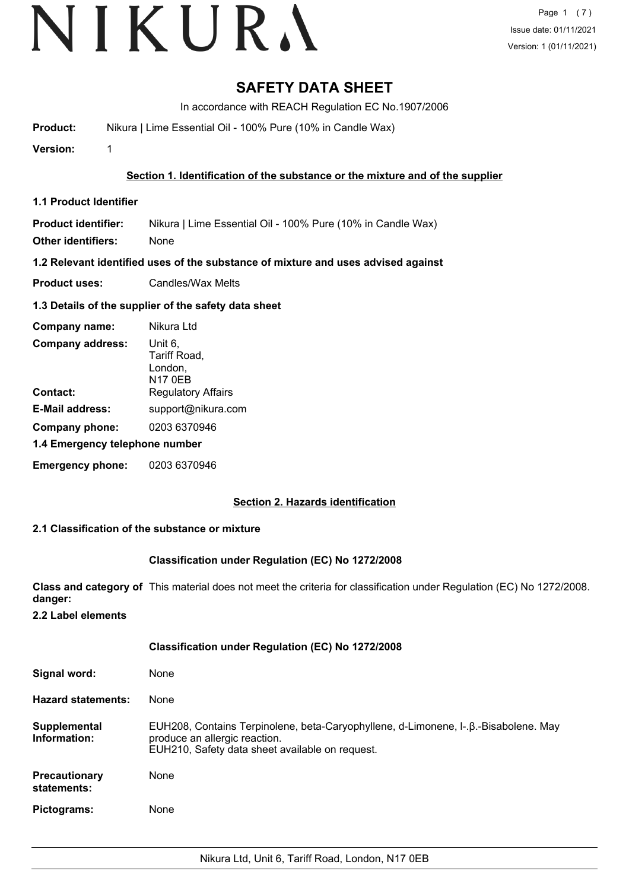# **SAFETY DATA SHEET**

In accordance with REACH Regulation EC No.1907/2006

**Product:** Nikura | Lime Essential Oil - 100% Pure (10% in Candle Wax)

**Version:** 1

#### **Section 1. Identification of the substance or the mixture and of the supplier**

**1.1 Product Identifier**

**Product identifier:** Nikura | Lime Essential Oil - 100% Pure (10% in Candle Wax)

**Other identifiers:** None

**1.2 Relevant identified uses of the substance of mixture and uses advised against**

**Product uses:** Candles/Wax Melts

#### **1.3 Details of the supplier of the safety data sheet**

| Company name:                  | Nikura Ltd                                           |  |
|--------------------------------|------------------------------------------------------|--|
| <b>Company address:</b>        | Unit 6,<br>Tariff Road,<br>London,<br><b>N17 0EB</b> |  |
| Contact:                       | <b>Regulatory Affairs</b>                            |  |
| <b>E-Mail address:</b>         | support@nikura.com                                   |  |
| Company phone:                 | 0203 6370946                                         |  |
| 1.4 Emergency telephone number |                                                      |  |
| <b>Emergency phone:</b>        | 0203 6370946                                         |  |

#### **Section 2. Hazards identification**

#### **2.1 Classification of the substance or mixture**

#### **Classification under Regulation (EC) No 1272/2008**

**Class and category of** This material does not meet the criteria for classification under Regulation (EC) No 1272/2008. **danger:**

**2.2 Label elements**

|                                     | <b>Classification under Regulation (EC) No 1272/2008</b>                                                                                                                |
|-------------------------------------|-------------------------------------------------------------------------------------------------------------------------------------------------------------------------|
| Signal word:                        | None                                                                                                                                                                    |
| <b>Hazard statements:</b>           | None                                                                                                                                                                    |
| Supplemental<br>Information:        | EUH208, Contains Terpinolene, beta-Caryophyllene, d-Limonene, I-.β.-Bisabolene. May<br>produce an allergic reaction.<br>EUH210, Safety data sheet available on request. |
| <b>Precautionary</b><br>statements: | None                                                                                                                                                                    |
| Pictograms:                         | None                                                                                                                                                                    |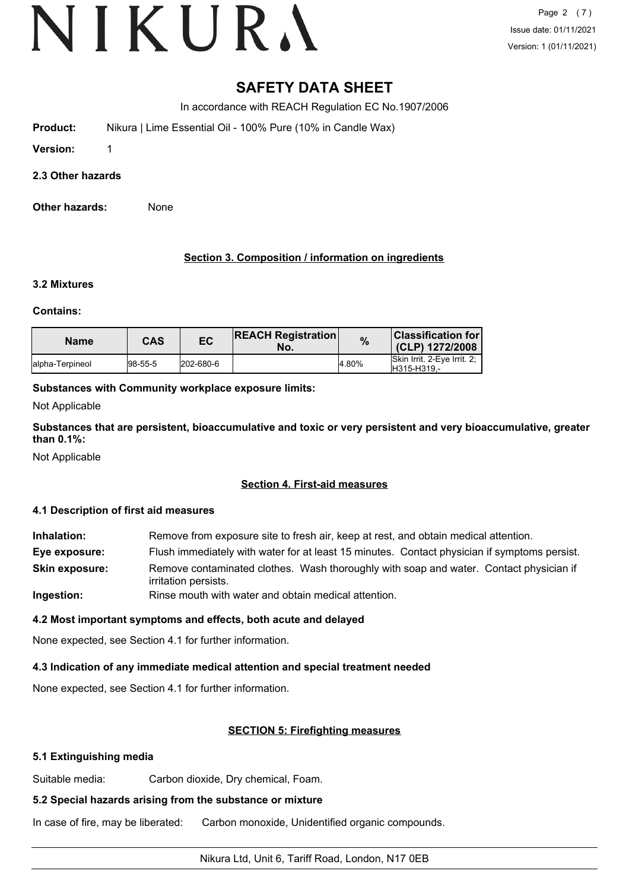# **SAFETY DATA SHEET**

In accordance with REACH Regulation EC No.1907/2006

**Product:** Nikura | Lime Essential Oil - 100% Pure (10% in Candle Wax)

**Version:** 1

**2.3 Other hazards**

**Other hazards:** None

### **Section 3. Composition / information on ingredients**

#### **3.2 Mixtures**

#### **Contains:**

| <b>Name</b>      | CAS     | EC        | <b>REACH Registration</b><br>No. | %     | <b>Classification for l</b><br>(CLP) 1272/2008 |
|------------------|---------|-----------|----------------------------------|-------|------------------------------------------------|
| lalpha-Terpineol | 98-55-5 | 202-680-6 |                                  | 4.80% | Skin Irrit, 2-Eve Irrit, 2:<br>H315-H319.-     |

### **Substances with Community workplace exposure limits:**

Not Applicable

**Substances that are persistent, bioaccumulative and toxic or very persistent and very bioaccumulative, greater than 0.1%:**

Not Applicable

### **Section 4. First-aid measures**

### **4.1 Description of first aid measures**

**Inhalation:** Remove from exposure site to fresh air, keep at rest, and obtain medical attention. **Eye exposure:** Flush immediately with water for at least 15 minutes. Contact physician if symptoms persist. Remove contaminated clothes. Wash thoroughly with soap and water. Contact physician if irritation persists. **Skin exposure: Ingestion:** Rinse mouth with water and obtain medical attention.

### **4.2 Most important symptoms and effects, both acute and delayed**

None expected, see Section 4.1 for further information.

### **4.3 Indication of any immediate medical attention and special treatment needed**

None expected, see Section 4.1 for further information.

### **SECTION 5: Firefighting measures**

#### **5.1 Extinguishing media**

Suitable media: Carbon dioxide, Dry chemical, Foam.

# **5.2 Special hazards arising from the substance or mixture**

In case of fire, may be liberated: Carbon monoxide, Unidentified organic compounds.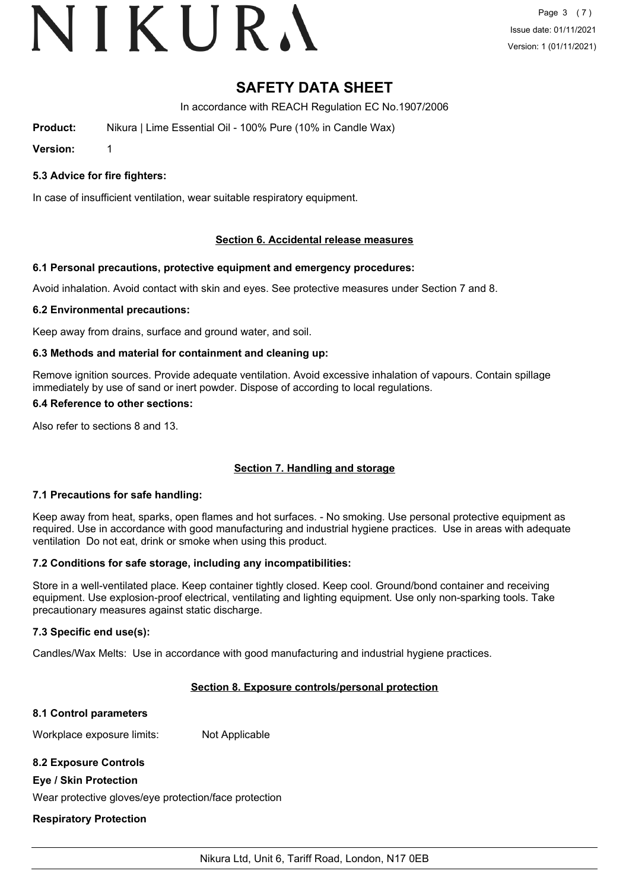# VIKURA

# **SAFETY DATA SHEET**

In accordance with REACH Regulation EC No.1907/2006

**Product:** Nikura | Lime Essential Oil - 100% Pure (10% in Candle Wax)

**Version:** 1

# **5.3 Advice for fire fighters:**

In case of insufficient ventilation, wear suitable respiratory equipment.

# **Section 6. Accidental release measures**

# **6.1 Personal precautions, protective equipment and emergency procedures:**

Avoid inhalation. Avoid contact with skin and eyes. See protective measures under Section 7 and 8.

# **6.2 Environmental precautions:**

Keep away from drains, surface and ground water, and soil.

# **6.3 Methods and material for containment and cleaning up:**

Remove ignition sources. Provide adequate ventilation. Avoid excessive inhalation of vapours. Contain spillage immediately by use of sand or inert powder. Dispose of according to local regulations.

# **6.4 Reference to other sections:**

Also refer to sections 8 and 13.

# **Section 7. Handling and storage**

# **7.1 Precautions for safe handling:**

Keep away from heat, sparks, open flames and hot surfaces. - No smoking. Use personal protective equipment as required. Use in accordance with good manufacturing and industrial hygiene practices. Use in areas with adequate ventilation Do not eat, drink or smoke when using this product.

# **7.2 Conditions for safe storage, including any incompatibilities:**

Store in a well-ventilated place. Keep container tightly closed. Keep cool. Ground/bond container and receiving equipment. Use explosion-proof electrical, ventilating and lighting equipment. Use only non-sparking tools. Take precautionary measures against static discharge.

# **7.3 Specific end use(s):**

Candles/Wax Melts: Use in accordance with good manufacturing and industrial hygiene practices.

# **Section 8. Exposure controls/personal protection**

# **8.1 Control parameters**

Workplace exposure limits: Not Applicable

# **8.2 Exposure Controls**

# **Eye / Skin Protection**

Wear protective gloves/eye protection/face protection

# **Respiratory Protection**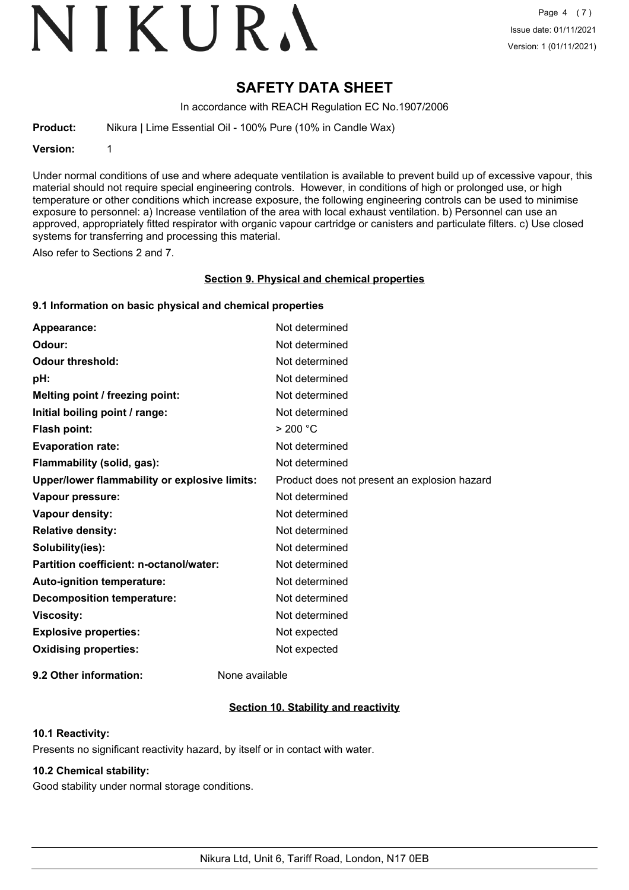# VIKURA

# **SAFETY DATA SHEET**

In accordance with REACH Regulation EC No.1907/2006

**Product:** Nikura | Lime Essential Oil - 100% Pure (10% in Candle Wax)

**Version:** 1

Under normal conditions of use and where adequate ventilation is available to prevent build up of excessive vapour, this material should not require special engineering controls. However, in conditions of high or prolonged use, or high temperature or other conditions which increase exposure, the following engineering controls can be used to minimise exposure to personnel: a) Increase ventilation of the area with local exhaust ventilation. b) Personnel can use an approved, appropriately fitted respirator with organic vapour cartridge or canisters and particulate filters. c) Use closed systems for transferring and processing this material.

Also refer to Sections 2 and 7.

#### **Section 9. Physical and chemical properties**

#### **9.1 Information on basic physical and chemical properties**

| Appearance:                                   | Not determined                               |
|-----------------------------------------------|----------------------------------------------|
| Odour:                                        | Not determined                               |
| <b>Odour threshold:</b>                       | Not determined                               |
| pH:                                           | Not determined                               |
| Melting point / freezing point:               | Not determined                               |
| Initial boiling point / range:                | Not determined                               |
| <b>Flash point:</b>                           | > 200 °C                                     |
| <b>Evaporation rate:</b>                      | Not determined                               |
| Flammability (solid, gas):                    | Not determined                               |
| Upper/lower flammability or explosive limits: | Product does not present an explosion hazard |
| Vapour pressure:                              | Not determined                               |
| Vapour density:                               | Not determined                               |
| <b>Relative density:</b>                      | Not determined                               |
| Solubility(ies):                              | Not determined                               |
| Partition coefficient: n-octanol/water:       | Not determined                               |
| Auto-ignition temperature:                    | Not determined                               |
| <b>Decomposition temperature:</b>             | Not determined                               |
| <b>Viscosity:</b>                             | Not determined                               |
| <b>Explosive properties:</b>                  | Not expected                                 |
| <b>Oxidising properties:</b>                  | Not expected                                 |
|                                               |                                              |

**9.2 Other information:** None available

### **Section 10. Stability and reactivity**

#### **10.1 Reactivity:**

Presents no significant reactivity hazard, by itself or in contact with water.

# **10.2 Chemical stability:**

Good stability under normal storage conditions.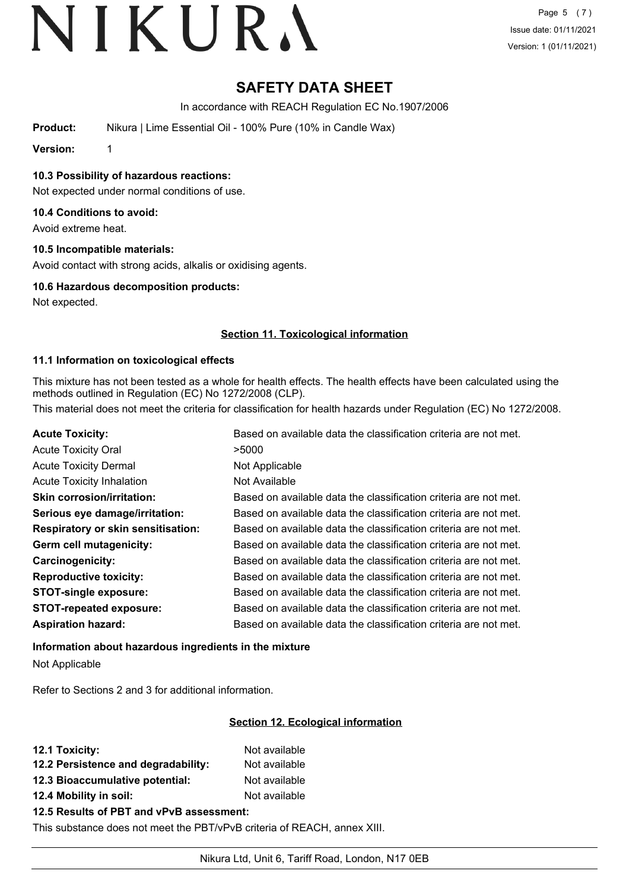# **SAFETY DATA SHEET**

In accordance with REACH Regulation EC No.1907/2006

**Product:** Nikura | Lime Essential Oil - 100% Pure (10% in Candle Wax)

**Version:** 1

**10.3 Possibility of hazardous reactions:**

Not expected under normal conditions of use.

#### **10.4 Conditions to avoid:**

Avoid extreme heat.

#### **10.5 Incompatible materials:**

Avoid contact with strong acids, alkalis or oxidising agents.

#### **10.6 Hazardous decomposition products:**

Not expected.

#### **Section 11. Toxicological information**

#### **11.1 Information on toxicological effects**

This mixture has not been tested as a whole for health effects. The health effects have been calculated using the methods outlined in Regulation (EC) No 1272/2008 (CLP).

This material does not meet the criteria for classification for health hazards under Regulation (EC) No 1272/2008.

| <b>Acute Toxicity:</b>                    | Based on available data the classification criteria are not met. |
|-------------------------------------------|------------------------------------------------------------------|
| <b>Acute Toxicity Oral</b>                | >5000                                                            |
| <b>Acute Toxicity Dermal</b>              | Not Applicable                                                   |
| <b>Acute Toxicity Inhalation</b>          | Not Available                                                    |
| <b>Skin corrosion/irritation:</b>         | Based on available data the classification criteria are not met. |
| Serious eye damage/irritation:            | Based on available data the classification criteria are not met. |
| <b>Respiratory or skin sensitisation:</b> | Based on available data the classification criteria are not met. |
| Germ cell mutagenicity:                   | Based on available data the classification criteria are not met. |
| Carcinogenicity:                          | Based on available data the classification criteria are not met. |
| <b>Reproductive toxicity:</b>             | Based on available data the classification criteria are not met. |
| <b>STOT-single exposure:</b>              | Based on available data the classification criteria are not met. |
| <b>STOT-repeated exposure:</b>            | Based on available data the classification criteria are not met. |
| <b>Aspiration hazard:</b>                 | Based on available data the classification criteria are not met. |

**Information about hazardous ingredients in the mixture** Not Applicable

Refer to Sections 2 and 3 for additional information.

### **Section 12. Ecological information**

| 12.1 Toxicity:                                                                                                                                                                                                                                                                                                                                                            | Not available |
|---------------------------------------------------------------------------------------------------------------------------------------------------------------------------------------------------------------------------------------------------------------------------------------------------------------------------------------------------------------------------|---------------|
| 12.2 Persistence and degradability:                                                                                                                                                                                                                                                                                                                                       | Not available |
| 12.3 Bioaccumulative potential:                                                                                                                                                                                                                                                                                                                                           | Not available |
| 12.4 Mobility in soil:                                                                                                                                                                                                                                                                                                                                                    | Not available |
| $\overline{AB}$ = B $\overline{AB}$ = $\overline{AB}$ = $\overline{AB}$ = $\overline{AB}$ = $\overline{BA}$ = $\overline{BA}$ = $\overline{AB}$ = $\overline{AB}$ = $\overline{AB}$ = $\overline{AB}$ = $\overline{AB}$ = $\overline{AB}$ = $\overline{AB}$ = $\overline{AB}$ = $\overline{AB}$ = $\overline{AB}$ = $\overline{AB}$ = $\overline{AB}$ = $\overline{AB}$ = |               |

#### **12.5 Results of PBT and vPvB assessment:**

This substance does not meet the PBT/vPvB criteria of REACH, annex XIII.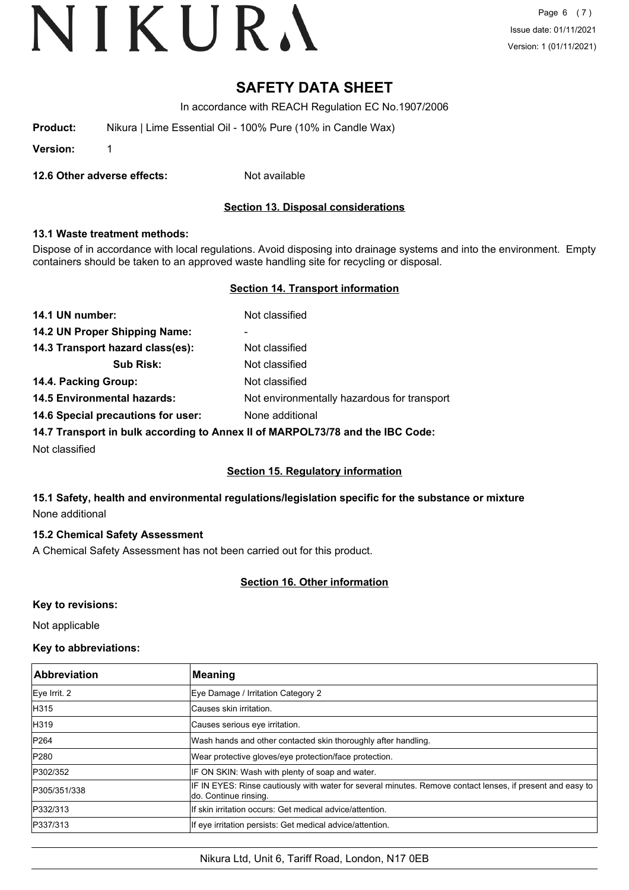# **SAFETY DATA SHEET**

In accordance with REACH Regulation EC No.1907/2006

| Product: | Nikura   Lime Essential Oil - 100% Pure (10% in Candle Wax) |
|----------|-------------------------------------------------------------|
|----------|-------------------------------------------------------------|

**Version:** 1

**12.6 Other adverse effects:** Not available

#### **Section 13. Disposal considerations**

#### **13.1 Waste treatment methods:**

Dispose of in accordance with local regulations. Avoid disposing into drainage systems and into the environment. Empty containers should be taken to an approved waste handling site for recycling or disposal.

#### **Section 14. Transport information**

| 14.1 UN number:                    | Not classified                              |
|------------------------------------|---------------------------------------------|
| 14.2 UN Proper Shipping Name:      | -                                           |
| 14.3 Transport hazard class(es):   | Not classified                              |
| <b>Sub Risk:</b>                   | Not classified                              |
| 14.4. Packing Group:               | Not classified                              |
| <b>14.5 Environmental hazards:</b> | Not environmentally hazardous for transport |
| 14.6 Special precautions for user: | None additional                             |
|                                    |                                             |

**14.7 Transport in bulk according to Annex II of MARPOL73/78 and the IBC Code:**

Not classified

#### **Section 15. Regulatory information**

# **15.1 Safety, health and environmental regulations/legislation specific for the substance or mixture** None additional

# **15.2 Chemical Safety Assessment**

A Chemical Safety Assessment has not been carried out for this product.

# **Section 16. Other information**

### **Key to revisions:**

Not applicable

# **Key to abbreviations:**

| <b>Abbreviation</b> | <b>Meaning</b>                                                                                                                      |
|---------------------|-------------------------------------------------------------------------------------------------------------------------------------|
| Eye Irrit. 2        | Eye Damage / Irritation Category 2                                                                                                  |
| <b>H315</b>         | lCauses skin irritation.                                                                                                            |
| H319                | Causes serious eye irritation.                                                                                                      |
| <b>P264</b>         | Wash hands and other contacted skin thoroughly after handling.                                                                      |
| P280                | Wear protective gloves/eye protection/face protection.                                                                              |
| P302/352            | IF ON SKIN: Wash with plenty of soap and water.                                                                                     |
| P305/351/338        | IF IN EYES: Rinse cautiously with water for several minutes. Remove contact lenses, if present and easy to<br>do. Continue rinsing. |
| P332/313            | If skin irritation occurs: Get medical advice/attention.                                                                            |
| P337/313            | If eye irritation persists: Get medical advice/attention.                                                                           |